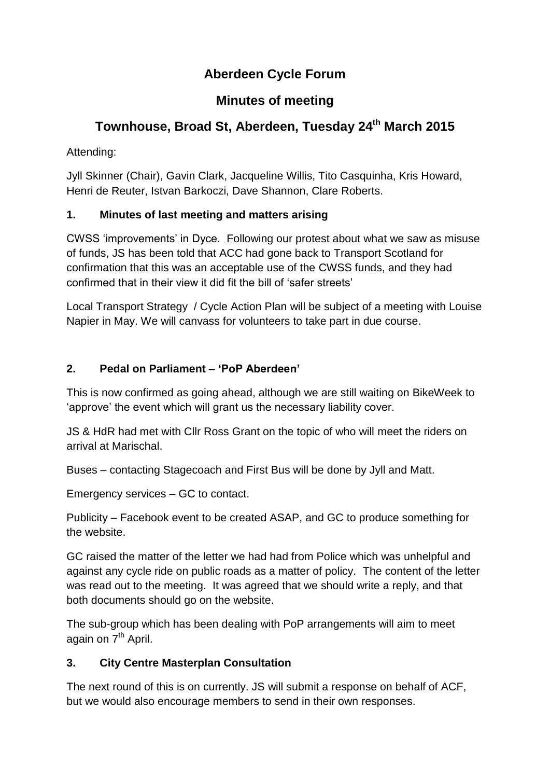## **Aberdeen Cycle Forum**

## **Minutes of meeting**

# **Townhouse, Broad St, Aberdeen, Tuesday 24 th March 2015**

Attending:

Jyll Skinner (Chair), Gavin Clark, Jacqueline Willis, Tito Casquinha, Kris Howard, Henri de Reuter, Istvan Barkoczi, Dave Shannon, Clare Roberts.

## **1. Minutes of last meeting and matters arising**

CWSS 'improvements' in Dyce. Following our protest about what we saw as misuse of funds, JS has been told that ACC had gone back to Transport Scotland for confirmation that this was an acceptable use of the CWSS funds, and they had confirmed that in their view it did fit the bill of 'safer streets'

Local Transport Strategy / Cycle Action Plan will be subject of a meeting with Louise Napier in May. We will canvass for volunteers to take part in due course.

## **2. Pedal on Parliament – 'PoP Aberdeen'**

This is now confirmed as going ahead, although we are still waiting on BikeWeek to 'approve' the event which will grant us the necessary liability cover.

JS & HdR had met with Cllr Ross Grant on the topic of who will meet the riders on arrival at Marischal.

Buses – contacting Stagecoach and First Bus will be done by Jyll and Matt.

Emergency services – GC to contact.

Publicity – Facebook event to be created ASAP, and GC to produce something for the website.

GC raised the matter of the letter we had had from Police which was unhelpful and against any cycle ride on public roads as a matter of policy. The content of the letter was read out to the meeting. It was agreed that we should write a reply, and that both documents should go on the website.

The sub-group which has been dealing with PoP arrangements will aim to meet again on 7<sup>th</sup> April.

#### **3. City Centre Masterplan Consultation**

The next round of this is on currently. JS will submit a response on behalf of ACF, but we would also encourage members to send in their own responses.